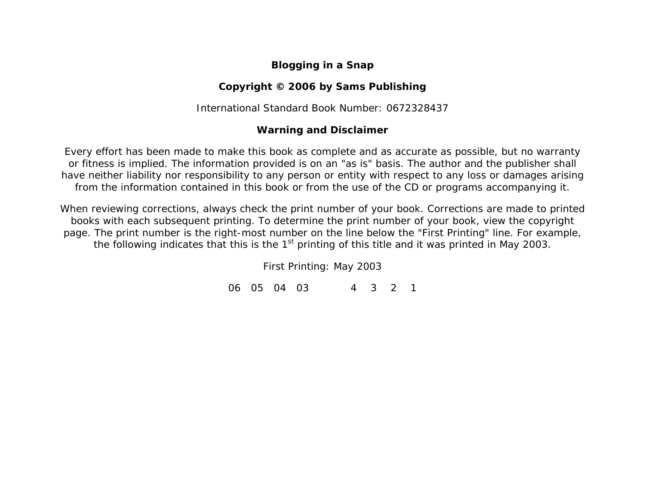## **Blogging in a Snap**

## **Copyright © 2006 by Sams Publishing**

International Standard Book Number: 0672328437

## **Warning and Disclaimer**

Every effort has been made to make this book as complete and as accurate as possible, but no warranty or fitness is implied. The information provided is on an "as is" basis. The author and the publisher shall have neither liability nor responsibility to any person or entity with respect to any loss or damages arising from the information contained in this book or from the use of the CD or programs accompanying it.

When reviewing corrections, always check the print number of your book. Corrections are made to printed books with each subsequent printing. To determine the print number of your book, view the copyright page. The print number is the right-most number on the line below the "First Printing" line. For example, the following indicates that this is the  $1<sup>st</sup>$  printing of this title and it was printed in May 2003.

*First Printing: May 2003* 

*06 05 04 03 4 3 2 1*